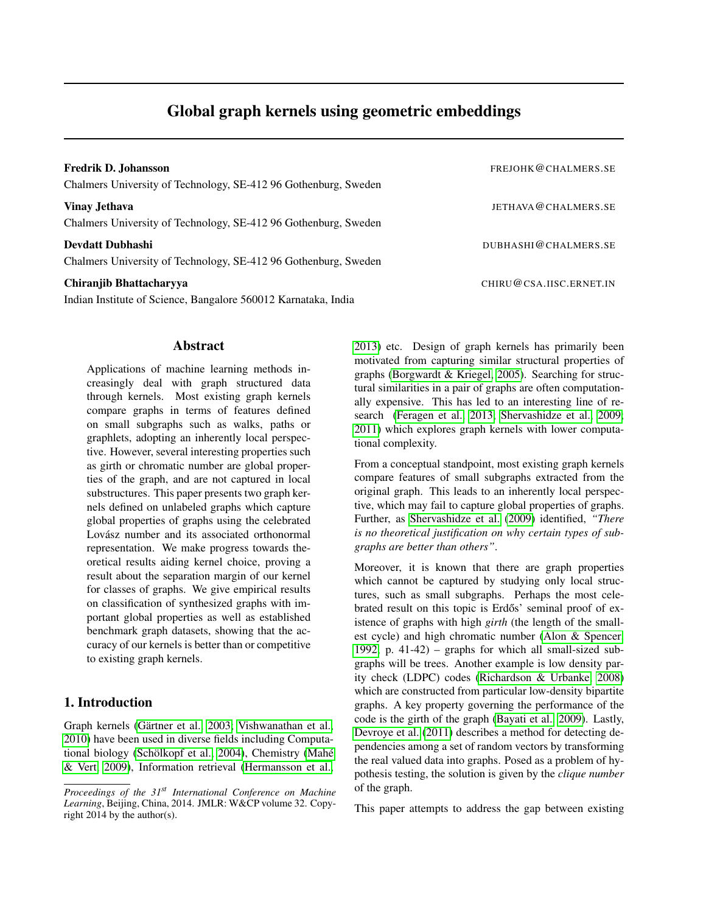# Global graph kernels using geometric embeddings

Chalmers University of Technology, SE-412 96 Gothenburg, Sweden

Vinay Jethava Jethava Jethava Jethava Jethava Jethava Jethava Jethava Jethava Jethava Jethava Jethava Jethava Jethava Jethava Jethava Jethava Jethava Jethava Jethava Jethava Jethava Jethava Jethava Jethava Jethava Jethava Chalmers University of Technology, SE-412 96 Gothenburg, Sweden

**Devdatt Dubhashi** DUBHASHI@CHALMERS.SE Chalmers University of Technology, SE-412 96 Gothenburg, Sweden

Indian Institute of Science, Bangalore 560012 Karnataka, India

Chiranjib Bhattacharyya CHIRU@CSA.IISC.ERNET.IN [2013\)](#page-7-1) etc. Design of graph kernels has primarily been motivated from capturing similar structural properties of graphs [\(Borgwardt & Kriegel, 2005\)](#page-7-2). Searching for structural similarities in a pair of graphs are often computationally expensive. This has led to an interesting line of research [\(Feragen et al., 2013;](#page-7-3) [Shervashidze et al., 2009;](#page-8-3) [2011\)](#page-8-4) which explores graph kernels with lower computational complexity.

> From a conceptual standpoint, most existing graph kernels compare features of small subgraphs extracted from the original graph. This leads to an inherently local perspective, which may fail to capture global properties of graphs. Further, as [Shervashidze et al.](#page-8-3) [\(2009\)](#page-8-3) identified, *"There is no theoretical justification on why certain types of subgraphs are better than others"*.

> Moreover, it is known that there are graph properties which cannot be captured by studying only local structures, such as small subgraphs. Perhaps the most celebrated result on this topic is Erdős' seminal proof of existence of graphs with high *girth* (the length of the smallest cycle) and high chromatic number [\(Alon & Spencer,](#page-7-4) [1992,](#page-7-4) p. 41-42) – graphs for which all small-sized subgraphs will be trees. Another example is low density parity check (LDPC) codes [\(Richardson & Urbanke, 2008\)](#page-8-5) which are constructed from particular low-density bipartite graphs. A key property governing the performance of the code is the girth of the graph [\(Bayati et al., 2009\)](#page-7-5). Lastly, [Devroye et al.](#page-7-6) [\(2011\)](#page-7-6) describes a method for detecting dependencies among a set of random vectors by transforming the real valued data into graphs. Posed as a problem of hypothesis testing, the solution is given by the *clique number* of the graph.

> This paper attempts to address the gap between existing

#### Abstract

Applications of machine learning methods increasingly deal with graph structured data through kernels. Most existing graph kernels compare graphs in terms of features defined on small subgraphs such as walks, paths or graphlets, adopting an inherently local perspective. However, several interesting properties such as girth or chromatic number are global properties of the graph, and are not captured in local substructures. This paper presents two graph kernels defined on unlabeled graphs which capture global properties of graphs using the celebrated Lovász number and its associated orthonormal representation. We make progress towards theoretical results aiding kernel choice, proving a result about the separation margin of our kernel for classes of graphs. We give empirical results on classification of synthesized graphs with important global properties as well as established benchmark graph datasets, showing that the accuracy of our kernels is better than or competitive to existing graph kernels.

## 1. Introduction

Graph kernels (Gärtner et al., 2003; [Vishwanathan et al.,](#page-8-0) [2010\)](#page-8-0) have been used in diverse fields including Computa-tional biology (Schölkopf et al., 2004), Chemistry [\(Mah](#page-8-2)é [& Vert, 2009\)](#page-8-2), Information retrieval [\(Hermansson et al.,](#page-7-1)

Fredrik D. Johansson **FREJOHK @CHALMERS.SE** 

*Proceedings of the 31st International Conference on Machine Learning*, Beijing, China, 2014. JMLR: W&CP volume 32. Copyright 2014 by the author(s).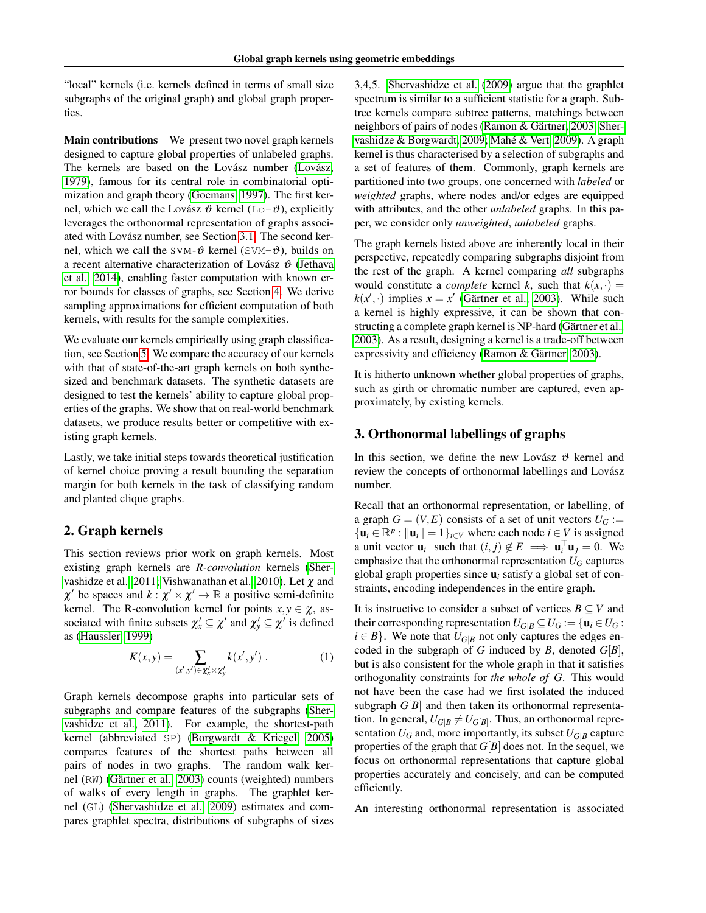"local" kernels (i.e. kernels defined in terms of small size subgraphs of the original graph) and global graph properties.

Main contributions We present two novel graph kernels designed to capture global properties of unlabeled graphs. The kernels are based on the Lovász number [\(Lov](#page-8-6)ász, [1979\)](#page-8-6), famous for its central role in combinatorial optimization and graph theory [\(Goemans, 1997\)](#page-7-7). The first kernel, which we call the Lovász  $\vartheta$  kernel (Lo- $\vartheta$ ), explicitly leverages the orthonormal representation of graphs associ-ated with Lovász number, see Section [3.1.](#page-2-0) The second kernel, which we call the SVM- $\vartheta$  kernel (SVM- $\vartheta$ ), builds on a recent alternative characterization of Lovász  $\vartheta$  [\(Jethava](#page-8-7) [et al., 2014\)](#page-8-7), enabling faster computation with known error bounds for classes of graphs, see Section [4.](#page-4-0) We derive sampling approximations for efficient computation of both kernels, with results for the sample complexities.

We evaluate our kernels empirically using graph classification, see Section [5.](#page-5-0) We compare the accuracy of our kernels with that of state-of-the-art graph kernels on both synthesized and benchmark datasets. The synthetic datasets are designed to test the kernels' ability to capture global properties of the graphs. We show that on real-world benchmark datasets, we produce results better or competitive with existing graph kernels.

Lastly, we take initial steps towards theoretical justification of kernel choice proving a result bounding the separation margin for both kernels in the task of classifying random and planted clique graphs.

#### 2. Graph kernels

This section reviews prior work on graph kernels. Most existing graph kernels are *R-convolution* kernels [\(Sher](#page-8-4)[vashidze et al., 2011;](#page-8-4) [Vishwanathan et al., 2010\)](#page-8-0). Let χ and  $\chi'$  be spaces and  $k : \chi' \times \chi' \to \mathbb{R}$  a positive semi-definite kernel. The R-convolution kernel for points  $x, y \in \chi$ , associated with finite subsets  $\chi'_x \subseteq \chi'$  and  $\chi'_y \subseteq \chi'$  is defined as [\(Haussler, 1999\)](#page-7-8)

$$
K(x,y) = \sum_{(x',y') \in \chi'_x \times \chi'_y} k(x',y') . \tag{1}
$$

Graph kernels decompose graphs into particular sets of subgraphs and compare features of the subgraphs [\(Sher](#page-8-4)[vashidze et al., 2011\)](#page-8-4). For example, the shortest-path kernel (abbreviated SP) [\(Borgwardt & Kriegel, 2005\)](#page-7-2) compares features of the shortest paths between all pairs of nodes in two graphs. The random walk kernel (RW) (Gärtner et al., 2003) counts (weighted) numbers of walks of every length in graphs. The graphlet kernel (GL) [\(Shervashidze et al., 2009\)](#page-8-3) estimates and compares graphlet spectra, distributions of subgraphs of sizes 3,4,5. [Shervashidze et al.](#page-8-3) [\(2009\)](#page-8-3) argue that the graphlet spectrum is similar to a sufficient statistic for a graph. Subtree kernels compare subtree patterns, matchings between neighbors of pairs of nodes (Ramon & Gärtner, 2003; [Sher](#page-8-9) [vashidze & Borgwardt, 2009;](#page-8-9) [Mahe & Vert, 2009\)](#page-8-2). A graph ´ kernel is thus characterised by a selection of subgraphs and a set of features of them. Commonly, graph kernels are partitioned into two groups, one concerned with *labeled* or *weighted* graphs, where nodes and/or edges are equipped with attributes, and the other *unlabeled* graphs. In this paper, we consider only *unweighted*, *unlabeled* graphs.

The graph kernels listed above are inherently local in their perspective, repeatedly comparing subgraphs disjoint from the rest of the graph. A kernel comparing *all* subgraphs would constitute a *complete* kernel *k*, such that  $k(x, \cdot) =$  $k(x', \cdot)$  implies  $x = x'$  (Gärtner et al., 2003). While such a kernel is highly expressive, it can be shown that constructing a complete graph kernel is NP-hard (Gärtner et al., [2003\)](#page-7-0). As a result, designing a kernel is a trade-off between expressivity and efficiency (Ramon & Gärtner, 2003).

It is hitherto unknown whether global properties of graphs, such as girth or chromatic number are captured, even approximately, by existing kernels.

### 3. Orthonormal labellings of graphs

In this section, we define the new Lovász  $\vartheta$  kernel and review the concepts of orthonormal labellings and Lovász number.

Recall that an orthonormal representation, or labelling, of a graph  $G = (V, E)$  consists of a set of unit vectors  $U_G :=$  $\{u_i \in \mathbb{R}^p : ||u_i|| = 1\}_{i \in V}$  where each node  $i \in V$  is assigned a unit vector  $\mathbf{u}_i$  such that  $(i, j) \notin E \implies \mathbf{u}_i^\top \mathbf{u}_j = 0$ . We emphasize that the orthonormal representation  $U_G$  captures global graph properties since u*<sup>i</sup>* satisfy a global set of constraints, encoding independences in the entire graph.

<span id="page-1-0"></span>It is instructive to consider a subset of vertices  $B \subseteq V$  and their corresponding representation  $U_{G|B} \subseteq U_G := \{ \mathbf{u}_i \in U_G :$  $i \in B$ . We note that  $U_{G|B}$  not only captures the edges encoded in the subgraph of *G* induced by *B*, denoted *G*[*B*], but is also consistent for the whole graph in that it satisfies orthogonality constraints for *the whole of G*. This would not have been the case had we first isolated the induced subgraph  $G[B]$  and then taken its orthonormal representation. In general,  $U_{G|B} \neq U_{G[B]}$ . Thus, an orthonormal representation  $U_G$  and, more importantly, its subset  $U_{G|B}$  capture properties of the graph that  $G[B]$  does not. In the sequel, we focus on orthonormal representations that capture global properties accurately and concisely, and can be computed efficiently.

An interesting orthonormal representation is associated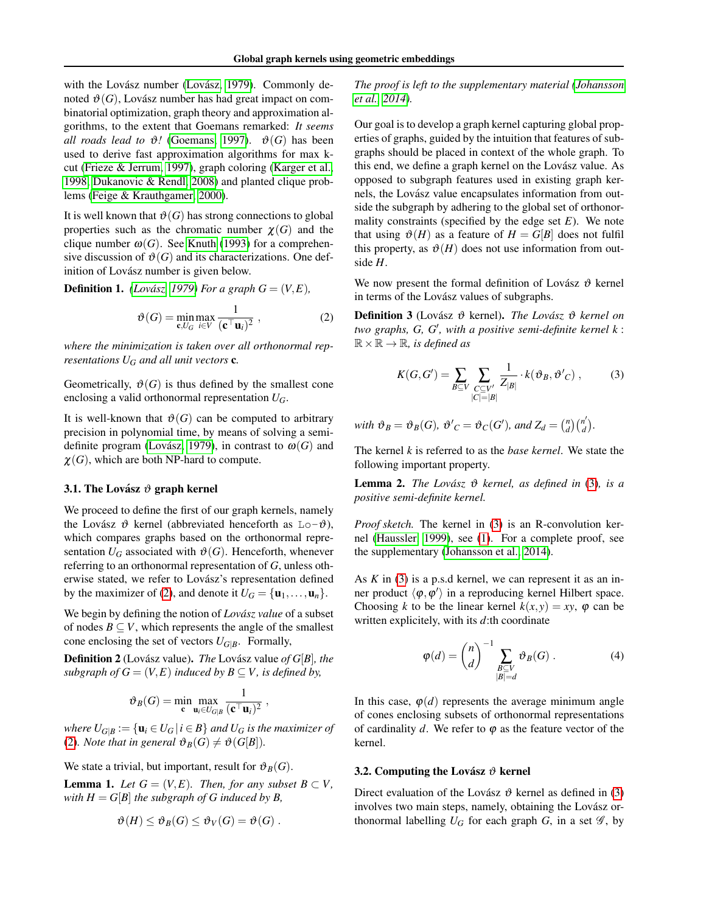with the Lovász number [\(Lov](#page-8-6)ász, [1979\)](#page-8-6). Commonly denoted  $\vartheta(G)$ , Lovász number has had great impact on combinatorial optimization, graph theory and approximation algorithms, to the extent that Goemans remarked: *It seems all roads lead to*  $\vartheta$ ! [\(Goemans, 1997\)](#page-7-7).  $\vartheta$ (*G*) has been used to derive fast approximation algorithms for max kcut [\(Frieze & Jerrum, 1997\)](#page-7-9), graph coloring [\(Karger et al.,](#page-8-10) [1998;](#page-8-10) [Dukanovic & Rendl, 2008\)](#page-7-10) and planted clique problems [\(Feige & Krauthgamer, 2000\)](#page-7-11).

It is well known that  $\vartheta(G)$  has strong connections to global properties such as the chromatic number  $\chi(G)$  and the clique number  $\omega(G)$ . See [Knuth](#page-8-11) [\(1993\)](#page-8-11) for a comprehensive discussion of  $\mathcal{O}(G)$  and its characterizations. One definition of Lovász number is given below.

**Definition 1.** *(Lovász, 1979) For a graph*  $G = (V, E)$ *,* 

$$
\vartheta(G) = \min_{\mathbf{c}, U_G} \max_{i \in V} \frac{1}{(\mathbf{c}^\top \mathbf{u}_i)^2},
$$
\n(2)

*where the minimization is taken over all orthonormal representations U<sup>G</sup> and all unit vectors* c*.*

Geometrically,  $\mathcal{O}(G)$  is thus defined by the smallest cone enclosing a valid orthonormal representation *UG*.

It is well-known that  $\vartheta(G)$  can be computed to arbitrary precision in polynomial time, by means of solving a semidefinite program (Lovász, 1979), in contrast to  $\omega(G)$  and  $\chi(G)$ , which are both NP-hard to compute.

#### <span id="page-2-0"></span>3.1. The Lovász  $\vartheta$  graph kernel

We proceed to define the first of our graph kernels, namely the Lovász  $\vartheta$  kernel (abbreviated henceforth as Lo- $\vartheta$ ), which compares graphs based on the orthonormal representation  $U_G$  associated with  $\vartheta(G)$ . Henceforth, whenever referring to an orthonormal representation of *G*, unless otherwise stated, we refer to Lovász's representation defined by the maximizer of [\(2\)](#page-2-1), and denote it  $U_G = {\mathbf{u}_1, \dots, \mathbf{u}_n}$ .

We begin by defining the notion of *Lovász value* of a subset of nodes  $B \subseteq V$ , which represents the angle of the smallest cone enclosing the set of vectors  $U_{G|B}$ . Formally,

Definition 2 (Lovász value). *The* Lovász value of *G*[*B*], the *subgraph of*  $G = (V, E)$  *induced by*  $B \subseteq V$ *, is defined by,* 

$$
\vartheta_B(G) = \min_{\mathbf{c}} \max_{\mathbf{u}_i \in U_{G|B}} \frac{1}{(\mathbf{c}^\top \mathbf{u}_i)^2} \ ,
$$

*where*  $U_{G|B} := \{ \mathbf{u}_i \in U_G \mid i \in B \}$  *and*  $U_G$  *is the maximizer of* [\(2\)](#page-2-1). *Note that in general*  $\vartheta_B(G) \neq \vartheta(G[B]).$ 

We state a trivial, but important, result for  $\vartheta_B(G)$ .

**Lemma 1.** *Let*  $G = (V, E)$ *. Then, for any subset*  $B \subset V$ *, with*  $H = G[B]$  *the subgraph of G induced by B,* 

$$
\vartheta(H) \leq \vartheta_B(G) \leq \vartheta_V(G) = \vartheta(G) .
$$

*The proof is left to the supplementary material [\(Johansson](#page-8-12) [et al., 2014\)](#page-8-12).*

Our goal is to develop a graph kernel capturing global properties of graphs, guided by the intuition that features of subgraphs should be placed in context of the whole graph. To this end, we define a graph kernel on the Lovász value. As opposed to subgraph features used in existing graph kernels, the Lovász value encapsulates information from outside the subgraph by adhering to the global set of orthonormality constraints (specified by the edge set *E*). We note that using  $\vartheta(H)$  as a feature of  $H = G[B]$  does not fulfil this property, as  $\mathcal{O}(H)$  does not use information from outside *H*.

We now present the formal definition of Lovász  $\vartheta$  kernel in terms of the Lovász values of subgraphs.

<span id="page-2-1"></span>**Definition 3** (Lovász θ kernel). *The Lovász* θ kernel on two graphs, G, G', with a positive semi-definite kernel k:  $\mathbb{R} \times \mathbb{R} \to \mathbb{R}$ *, is defined as* 

<span id="page-2-2"></span>
$$
K(G, G') = \sum_{B \subseteq V} \sum_{\substack{C \subseteq V' \\ |C| = |B|}} \frac{1}{Z_{|B|}} \cdot k(\vartheta_B, \vartheta'_{C}), \qquad (3)
$$

*with*  $\vartheta_B = \vartheta_B(G)$ ,  $\vartheta'_{C} = \vartheta_{C}(G')$ , and  $Z_d = \binom{n}{d} \binom{n'}{d}$ <sup>*d*</sup>).

The kernel *k* is referred to as the *base kernel*. We state the following important property.

**Lemma 2.** *The Lovász*  $\vartheta$  *kernel, as defined in* [\(3\)](#page-2-2)*, is a positive semi-definite kernel.*

*Proof sketch.* The kernel in [\(3\)](#page-2-2) is an R-convolution kernel [\(Haussler, 1999\)](#page-7-8), see [\(1\)](#page-1-0). For a complete proof, see the supplementary [\(Johansson et al., 2014\)](#page-8-12).

As *K* in [\(3\)](#page-2-2) is a p.s.d kernel, we can represent it as an inner product  $\langle \phi, \phi' \rangle$  in a reproducing kernel Hilbert space. Choosing *k* to be the linear kernel  $k(x, y) = xy$ ,  $\varphi$  can be written explicitely, with its *d*:th coordinate

<span id="page-2-3"></span>
$$
\varphi(d) = \binom{n}{d}^{-1} \sum_{\substack{B \subseteq V \\ |B| = d}} \vartheta_B(G) . \tag{4}
$$

In this case,  $\varphi(d)$  represents the average minimum angle of cones enclosing subsets of orthonormal representations of cardinality  $d$ . We refer to  $\varphi$  as the feature vector of the kernel.

#### <span id="page-2-4"></span>3.2. Computing the Lovász  $\vartheta$  kernel

Direct evaluation of the Lovász  $\vartheta$  kernel as defined in [\(3\)](#page-2-2) involves two main steps, namely, obtaining the Lovász orthonormal labelling  $U_G$  for each graph *G*, in a set  $\mathscr{G}$ , by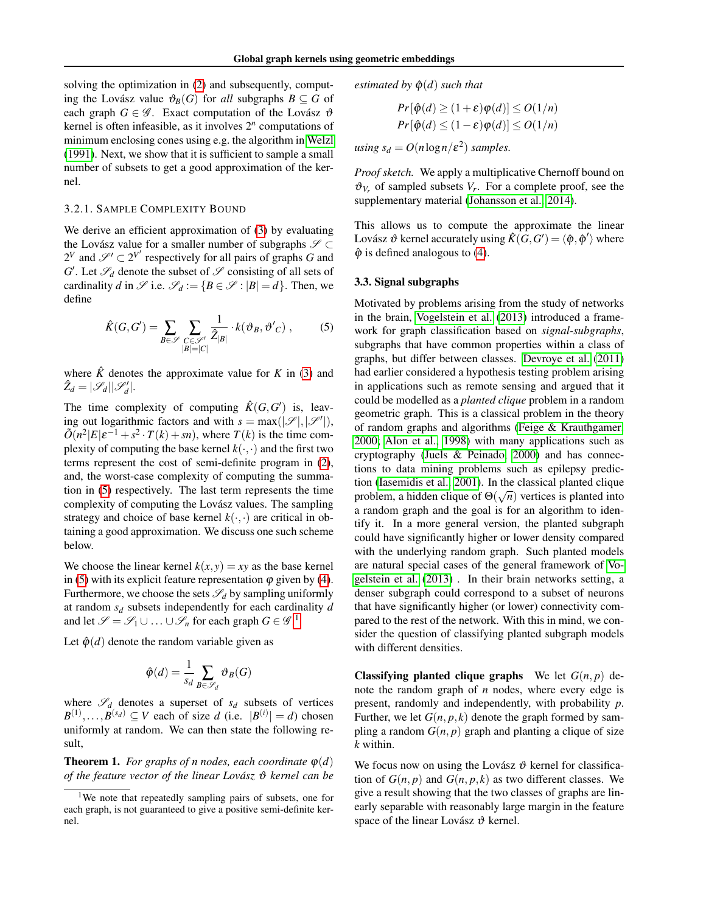solving the optimization in [\(2\)](#page-2-1) and subsequently, computing the Lovász value  $\vartheta_B(G)$  for *all* subgraphs  $B \subseteq G$  of each graph  $G \in \mathscr{G}$ . Exact computation of the Lovász  $\vartheta$ kernel is often infeasible, as it involves  $2<sup>n</sup>$  computations of minimum enclosing cones using e.g. the algorithm in [Welzl](#page-8-13) [\(1991\)](#page-8-13). Next, we show that it is sufficient to sample a small number of subsets to get a good approximation of the kernel.

#### 3.2.1. SAMPLE COMPLEXITY BOUND

We derive an efficient approximation of [\(3\)](#page-2-2) by evaluating the Lovász value for a smaller number of subgraphs  $\mathscr{S} \subset$  $2^V$  and  $\mathscr{S}' \subset 2^{V'}$  respectively for all pairs of graphs *G* and  $G'$ . Let  $\mathscr{S}_d$  denote the subset of  $\mathscr{S}$  consisting of all sets of cardinality *d* in  $\mathscr{S}$  i.e.  $\mathscr{S}_d := \{ B \in \mathscr{S} : |B| = d \}.$  Then, we define

$$
\hat{K}(G, G') = \sum_{B \in \mathscr{S}} \sum_{\substack{C \in \mathscr{L}'} \ \sum_{|B| = |C|}} \frac{1}{\hat{Z}_{|B|}} \cdot k(\vartheta_B, \vartheta'_{C}), \tag{5}
$$

where  $\hat{K}$  denotes the approximate value for  $K$  in [\(3\)](#page-2-2) and  $\hat{Z}_d = |\mathscr{S}_d| |\mathscr{S}'_d|.$ 

The time complexity of computing  $\hat{K}(G, G')$  is, leaving out logarithmic factors and with  $s = \max(|\mathcal{S}|, |\mathcal{S}'|)$ ,  $\tilde{O}(n^2|E|\varepsilon^{-1} + s^2 \cdot T(k) + sn)$ , where  $T(k)$  is the time complexity of computing the base kernel  $k(\cdot, \cdot)$  and the first two terms represent the cost of semi-definite program in [\(2\)](#page-2-1), and, the worst-case complexity of computing the summation in [\(5\)](#page-3-0) respectively. The last term represents the time complexity of computing the Lovász values. The sampling strategy and choice of base kernel  $k(\cdot, \cdot)$  are critical in obtaining a good approximation. We discuss one such scheme below.

We choose the linear kernel  $k(x, y) = xy$  as the base kernel in [\(5\)](#page-3-0) with its explicit feature representation  $\varphi$  given by [\(4\)](#page-2-3). Furthermore, we choose the sets  $\mathscr{S}_d$  by sampling uniformly at random *s<sup>d</sup>* subsets independently for each cardinality *d* and let  $\mathscr{S} = \mathscr{S}_1 \cup ... \cup \mathscr{S}_n$  $\mathscr{S} = \mathscr{S}_1 \cup ... \cup \mathscr{S}_n$  $\mathscr{S} = \mathscr{S}_1 \cup ... \cup \mathscr{S}_n$  for each graph  $G \in \mathscr{G}$ .<sup>1</sup>

Let  $\hat{\varphi}(d)$  denote the random variable given as

$$
\hat{\varphi}(d) = \frac{1}{s_d} \sum_{B \in \mathscr{S}_d} \vartheta_B(G)
$$

where  $\mathscr{S}_d$  denotes a superset of  $s_d$  subsets of vertices  $B^{(1)}, \ldots, B^{(s_d)} \subseteq V$  each of size *d* (i.e.  $|B^{(i)}| = d$ ) chosen uniformly at random. We can then state the following result,

**Theorem 1.** *For graphs of n nodes, each coordinate*  $\varphi(d)$ *of the feature vector of the linear Lovász θ kernel can be*  *estimated by*  $\hat{\phi}(d)$  *such that* 

$$
Pr[\hat{\varphi}(d) \ge (1+\varepsilon)\varphi(d)] \le O(1/n)
$$
  

$$
Pr[\hat{\varphi}(d) \le (1-\varepsilon)\varphi(d)] \le O(1/n)
$$

 $using s_d = O(n \log n / \varepsilon^2)$  *samples.* 

*Proof sketch.* We apply a multiplicative Chernoff bound on  $\vartheta_{V_r}$  of sampled subsets  $V_r$ . For a complete proof, see the supplementary material [\(Johansson et al., 2014\)](#page-8-12).

This allows us to compute the approximate the linear Lovász  $\vartheta$  kernel accurately using  $\hat{K}(G,G') = \langle \hat{\varphi}, \hat{\varphi}' \rangle$  where  $\hat{\varphi}$  is defined analogous to [\(4\)](#page-2-3).

#### <span id="page-3-2"></span>3.3. Signal subgraphs

<span id="page-3-0"></span>Motivated by problems arising from the study of networks in the brain, [Vogelstein et al.](#page-8-14) [\(2013\)](#page-8-14) introduced a framework for graph classification based on *signal-subgraphs*, subgraphs that have common properties within a class of graphs, but differ between classes. [Devroye et al.](#page-7-6) [\(2011\)](#page-7-6) had earlier considered a hypothesis testing problem arising in applications such as remote sensing and argued that it could be modelled as a *planted clique* problem in a random geometric graph. This is a classical problem in the theory of random graphs and algorithms [\(Feige & Krauthgamer,](#page-7-11) [2000;](#page-7-11) [Alon et al., 1998\)](#page-7-12) with many applications such as cryptography [\(Juels & Peinado, 2000\)](#page-8-15) and has connections to data mining problems such as epilepsy predic-tion [\(Iasemidis et al., 2001\)](#page-8-16). In the classical planted clique problem, a hidden clique of  $\Theta(\sqrt{n})$  vertices is planted into a random graph and the goal is for an algorithm to identify it. In a more general version, the planted subgraph could have significantly higher or lower density compared with the underlying random graph. Such planted models are natural special cases of the general framework of [Vo](#page-8-14)[gelstein et al.](#page-8-14) [\(2013\)](#page-8-14) . In their brain networks setting, a denser subgraph could correspond to a subset of neurons that have significantly higher (or lower) connectivity compared to the rest of the network. With this in mind, we consider the question of classifying planted subgraph models with different densities.

**Classifying planted clique graphs** We let  $G(n, p)$  denote the random graph of *n* nodes, where every edge is present, randomly and independently, with probability *p*. Further, we let  $G(n, p, k)$  denote the graph formed by sampling a random  $G(n, p)$  graph and planting a clique of size *k* within.

We focus now on using the Lovász  $\vartheta$  kernel for classification of  $G(n, p)$  and  $G(n, p, k)$  as two different classes. We give a result showing that the two classes of graphs are linearly separable with reasonably large margin in the feature space of the linear Lovász  $\vartheta$  kernel.

<span id="page-3-1"></span><sup>&</sup>lt;sup>1</sup>We note that repeatedly sampling pairs of subsets, one for each graph, is not guaranteed to give a positive semi-definite kernel.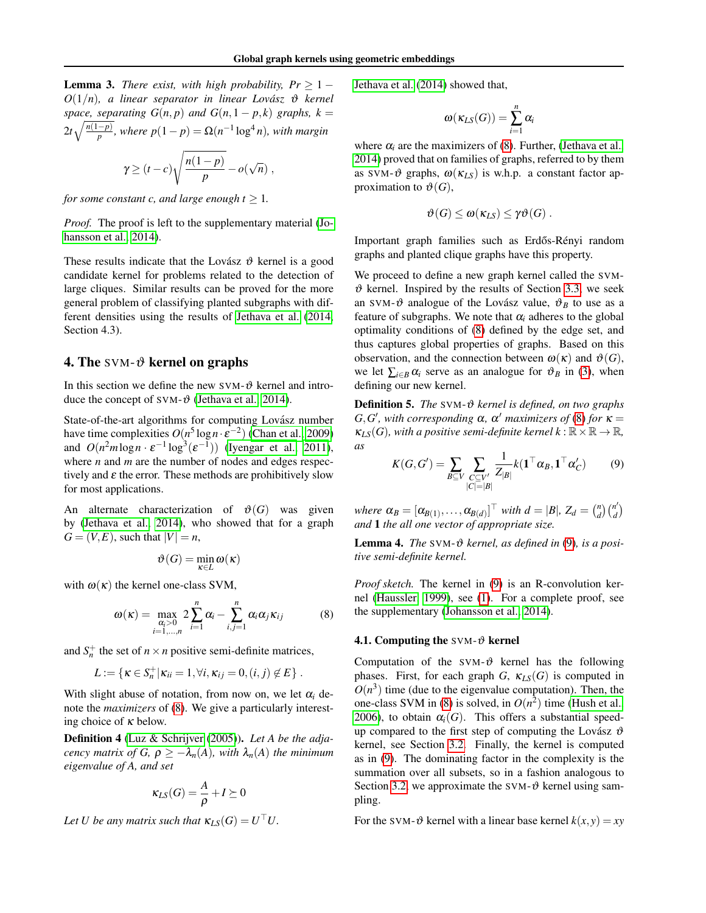<span id="page-4-3"></span>**Lemma 3.** *There exist, with high probability,*  $Pr \geq 1 O(1/n)$ , a linear separator in linear Lovász  $\vartheta$  kernel *space, separating*  $G(n, p)$  *and*  $G(n, 1 - p, k)$  *graphs,*  $k =$  $2t\sqrt{\frac{n(1-p)}{p}}$ , where  $p(1-p) = \Omega(n^{-1}\log^4 n)$ , with margin

$$
\gamma \ge (t-c)\sqrt{\frac{n(1-p)}{p}}-o(\sqrt{n}),
$$

*for some constant c, and large enough*  $t > 1$ *.* 

*Proof.* The proof is left to the supplementary material [\(Jo](#page-8-12)[hansson et al., 2014\)](#page-8-12).

These results indicate that the Lovász  $\vartheta$  kernel is a good candidate kernel for problems related to the detection of large cliques. Similar results can be proved for the more general problem of classifying planted subgraphs with different densities using the results of [Jethava et al.](#page-8-7) [\(2014,](#page-8-7) Section 4.3).

#### **4. The SVM-** $\vartheta$  **kernel on graphs**

In this section we define the new  $SVM-\vartheta$  kernel and introduce the concept of SVM- $\vartheta$  [\(Jethava et al., 2014\)](#page-8-7).

State-of-the-art algorithms for computing Lovász number have time complexities  $O(n^5 \log n \cdot \varepsilon^{-2})$  [\(Chan et al., 2009\)](#page-7-13) and  $O(n^2m \log n \cdot \varepsilon^{-1} \log^3(\varepsilon^{-1}))$  [\(Iyengar et al., 2011\)](#page-8-17), where *n* and *m* are the number of nodes and edges respectively and  $\varepsilon$  the error. These methods are prohibitively slow for most applications.

An alternate characterization of  $\vartheta(G)$  was given by [\(Jethava et al., 2014\)](#page-8-7), who showed that for a graph  $G = (V, E)$ , such that  $|V| = n$ ,

$$
\vartheta(G)=\min_{\kappa\in L}\omega(\kappa)
$$

with  $\omega(\kappa)$  the kernel one-class SVM,

$$
\omega(\kappa) = \max_{\substack{\alpha_i > 0 \\ i=1,\dots,n}} 2\sum_{i=1}^n \alpha_i - \sum_{i,j=1}^n \alpha_i \alpha_j \kappa_{ij}
$$
(8)

and  $S_n^+$  the set of  $n \times n$  positive semi-definite matrices,

$$
L:=\{\kappa\in S_n^+|\kappa_{ii}=1,\forall i,\kappa_{ij}=0,(i,j)\notin E\}.
$$

With slight abuse of notation, from now on, we let  $\alpha_i$  denote the *maximizers* of [\(8\)](#page-4-1). We give a particularly interesting choice of  $\kappa$  below.

<span id="page-4-0"></span>Definition 4 [\(Luz & Schrijver](#page-8-18) [\(2005\)](#page-8-18)). *Let A be the adjacency matrix of G,*  $\rho \geq -\lambda_n(A)$ *, with*  $\lambda_n(A)$  *the minimum eigenvalue of A, and set*

$$
\kappa_{LS}(G) = \frac{A}{\rho} + I \succeq 0
$$

*Let U be any matrix such that*  $\kappa_{LS}(G) = U^\top U$ .

[Jethava et al.](#page-8-7) [\(2014\)](#page-8-7) showed that,

$$
\omega(\kappa_{LS}(G))=\sum_{i=1}^n\alpha_i
$$

where  $\alpha_i$  are the maximizers of [\(8\)](#page-4-1). Further, [\(Jethava et al.,](#page-8-7) [2014\)](#page-8-7) proved that on families of graphs, referred to by them as SVM- $\vartheta$  graphs,  $\omega(\kappa_{LS})$  is w.h.p. a constant factor approximation to  $\vartheta(G)$ ,

$$
\vartheta(G) \leq \omega(\kappa_{LS}) \leq \gamma \vartheta(G) .
$$

Important graph families such as Erdős-Rényi random graphs and planted clique graphs have this property.

We proceed to define a new graph kernel called the SVM- $\vartheta$  kernel. Inspired by the results of Section [3.3,](#page-3-2) we seek an SVM- $\vartheta$  analogue of the Lovász value,  $\vartheta_B$  to use as a feature of subgraphs. We note that  $\alpha_i$  adheres to the global optimality conditions of [\(8\)](#page-4-1) defined by the edge set, and thus captures global properties of graphs. Based on this observation, and the connection between  $\omega(\kappa)$  and  $\vartheta(G)$ , we let  $\sum_{i \in B} \alpha_i$  serve as an analogue for  $\vartheta_B$  in [\(3\)](#page-2-2), when defining our new kernel.

Definition 5. *The* SVM-ϑ *kernel is defined, on two graphs*  $G, G'$ , with corresponding  $\alpha$ ,  $\alpha'$  *maximizers of* [\(8\)](#page-4-1) for  $\kappa =$  $\kappa_{LS}(G)$ , with a positive semi-definite kernel  $k : \mathbb{R} \times \mathbb{R} \to \mathbb{R}$ , *as*

<span id="page-4-2"></span>
$$
K(G, G') = \sum_{B \subseteq V} \sum_{\substack{C \subseteq V' \\ |C| = |B|}} \frac{1}{Z_{|B|}} k(\mathbf{1}^\top \alpha_B, \mathbf{1}^\top \alpha_C') \tag{9}
$$

*where*  $\alpha_B = [\alpha_{B(1)}, \ldots, \alpha_{B(d)}]^\top$  *with*  $d = |B|$ ,  $Z_d = \binom{n}{d} \binom{n'}{d}$  $\binom{n'}{d}$ *and* 1 *the all one vector of appropriate size.*

Lemma 4. *The* SVM-ϑ *kernel, as defined in* [\(9\)](#page-4-2)*, is a positive semi-definite kernel.*

<span id="page-4-1"></span>*Proof sketch.* The kernel in [\(9\)](#page-4-2) is an R-convolution kernel [\(Haussler, 1999\)](#page-7-8), see [\(1\)](#page-1-0). For a complete proof, see the supplementary [\(Johansson et al., 2014\)](#page-8-12).

#### 4.1. Computing the SVM- $\vartheta$  kernel

Computation of the SVM- $\vartheta$  kernel has the following phases. First, for each graph *G*,  $\kappa_{LS}(G)$  is computed in  $O(n^3)$  time (due to the eigenvalue computation). Then, the one-class SVM in [\(8\)](#page-4-1) is solved, in  $O(n^2)$  time [\(Hush et al.,](#page-7-14) [2006\)](#page-7-14), to obtain  $\alpha_i(G)$ . This offers a substantial speedup compared to the first step of computing the Lovász  $\vartheta$ kernel, see Section [3.2.](#page-2-4) Finally, the kernel is computed as in [\(9\)](#page-4-2). The dominating factor in the complexity is the summation over all subsets, so in a fashion analogous to Section [3.2,](#page-2-4) we approximate the SVM- $\vartheta$  kernel using sampling.

For the SVM- $\vartheta$  kernel with a linear base kernel  $k(x, y) = xy$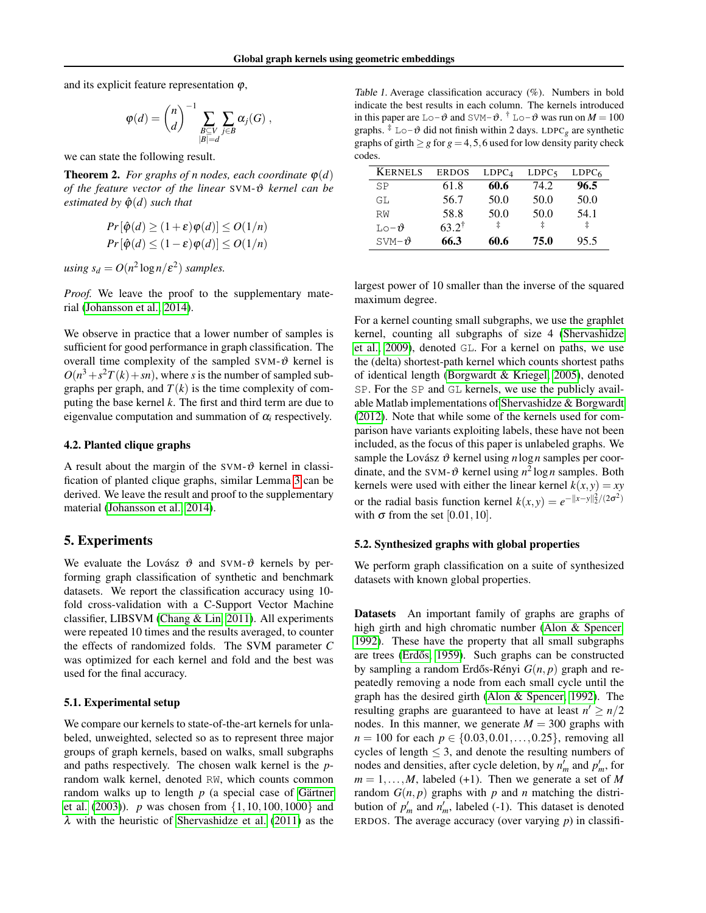and its explicit feature representation  $\varphi$ ,

$$
\varphi(d) = {n \choose d}^{-1} \sum_{\substack{B \subseteq V \\ |B| = d}} \sum_{j \in B} \alpha_j(G) ,
$$

we can state the following result.

**Theorem 2.** *For graphs of n nodes, each coordinate*  $\varphi(d)$ *of the feature vector of the linear* SVM-ϑ *kernel can be estimated by*  $\hat{\varphi}(d)$  *such that* 

$$
Pr[\hat{\varphi}(d) \ge (1+\varepsilon)\varphi(d)] \le O(1/n)
$$
  

$$
Pr[\hat{\varphi}(d) \le (1-\varepsilon)\varphi(d)] \le O(1/n)
$$

 $using s_d = O(n^2 \log n / \varepsilon^2)$  *samples.* 

*Proof.* We leave the proof to the supplementary material [\(Johansson et al., 2014\)](#page-8-12).

We observe in practice that a lower number of samples is sufficient for good performance in graph classification. The overall time complexity of the sampled SVM- $\vartheta$  kernel is  $O(n^3 + s^2T(k) + sn)$ , where *s* is the number of sampled subgraphs per graph, and  $T(k)$  is the time complexity of computing the base kernel *k*. The first and third term are due to eigenvalue computation and summation of  $\alpha_i$  respectively.

#### 4.2. Planted clique graphs

A result about the margin of the SVM- $\vartheta$  kernel in classification of planted clique graphs, similar Lemma [3](#page-4-3) can be derived. We leave the result and proof to the supplementary material [\(Johansson et al., 2014\)](#page-8-12).

#### <span id="page-5-0"></span>5. Experiments

We evaluate the Lovász  $\vartheta$  and SVM- $\vartheta$  kernels by performing graph classification of synthetic and benchmark datasets. We report the classification accuracy using 10 fold cross-validation with a C-Support Vector Machine classifier, LIBSVM [\(Chang & Lin, 2011\)](#page-7-15). All experiments were repeated 10 times and the results averaged, to counter the effects of randomized folds. The SVM parameter *C* was optimized for each kernel and fold and the best was used for the final accuracy.

#### 5.1. Experimental setup

We compare our kernels to state-of-the-art kernels for unlabeled, unweighted, selected so as to represent three major groups of graph kernels, based on walks, small subgraphs and paths respectively. The chosen walk kernel is the *p*random walk kernel, denoted RW, which counts common random walks up to length  $p$  (a special case of Gärtner [et al.](#page-7-0) [\(2003\)](#page-7-0)). *p* was chosen from {1,10,100,1000} and λ with the heuristic of [Shervashidze et al.](#page-8-4) [\(2011\)](#page-8-4) as the

<span id="page-5-1"></span>Table 1. Average classification accuracy (%). Numbers in bold indicate the best results in each column. The kernels introduced in this paper are  $\text{Lo}-\vartheta$  and  $\text{SWM}-\vartheta$ . <sup>†</sup>  $\text{Lo}-\vartheta$  was run on  $M = 100$ graphs.  $\frac{1}{4}$  Lo- $\vartheta$  did not finish within 2 days. LDPC<sub>*g*</sub> are synthetic graphs of girth  $\geq g$  for  $g = 4, 5, 6$  used for low density parity check codes.

| <b>KERNELS</b>                    | <b>ERDOS</b>     | LDPC <sub>4</sub> | LDPC <sub>5</sub> | LDPC <sub>6</sub> |
|-----------------------------------|------------------|-------------------|-------------------|-------------------|
| SP                                | 61.8             | 60.6              | 74.2              | 96.5              |
| GL                                | 56.7             | 50.0              | 50.0              | 50.0              |
| RW                                | 58.8             | 50.0              | 50.0              | 54.1              |
| $\mathbb{L} \circ \neg \vartheta$ | $63.2^{\dagger}$ | ŧ                 | ŧ                 | İ                 |
| $SVM - \theta$                    | 66.3             | 60.6              | 75.0              | 95.5              |

largest power of 10 smaller than the inverse of the squared maximum degree.

For a kernel counting small subgraphs, we use the graphlet kernel, counting all subgraphs of size 4 [\(Shervashidze](#page-8-3) [et al., 2009\)](#page-8-3), denoted GL. For a kernel on paths, we use the (delta) shortest-path kernel which counts shortest paths of identical length [\(Borgwardt & Kriegel, 2005\)](#page-7-2), denoted SP. For the SP and GL kernels, we use the publicly available Matlab implementations of [Shervashidze & Borgwardt](#page-8-19) [\(2012\)](#page-8-19). Note that while some of the kernels used for comparison have variants exploiting labels, these have not been included, as the focus of this paper is unlabeled graphs. We sample the Lovász  $\vartheta$  kernel using *n*log *n* samples per coordinate, and the SVM- $\vartheta$  kernel using  $n^2 \log n$  samples. Both kernels were used with either the linear kernel  $k(x, y) = xy$ or the radial basis function kernel  $k(x, y) = e^{-\|x - y\|_2^2/(2\sigma^2)}$ with  $\sigma$  from the set [0.01, 10].

#### 5.2. Synthesized graphs with global properties

We perform graph classification on a suite of synthesized datasets with known global properties.

Datasets An important family of graphs are graphs of high girth and high chromatic number [\(Alon & Spencer,](#page-7-4) [1992\)](#page-7-4). These have the property that all small subgraphs are trees (Erdős, 1959). Such graphs can be constructed by sampling a random Erdős-Rényi  $G(n, p)$  graph and repeatedly removing a node from each small cycle until the graph has the desired girth [\(Alon & Spencer, 1992\)](#page-7-4). The resulting graphs are guaranteed to have at least  $n' \geq n/2$ nodes. In this manner, we generate  $M = 300$  graphs with *n* = 100 for each  $p \in \{0.03, 0.01, \ldots, 0.25\}$ , removing all cycles of length  $\leq$  3, and denote the resulting numbers of nodes and densities, after cycle deletion, by  $n'_m$  and  $p'_m$ , for  $m = 1, \ldots, M$ , labeled (+1). Then we generate a set of *M* random  $G(n, p)$  graphs with  $p$  and  $n$  matching the distribution of  $p'_m$  and  $n'_m$ , labeled (-1). This dataset is denoted ERDOS. The average accuracy (over varying *p*) in classifi-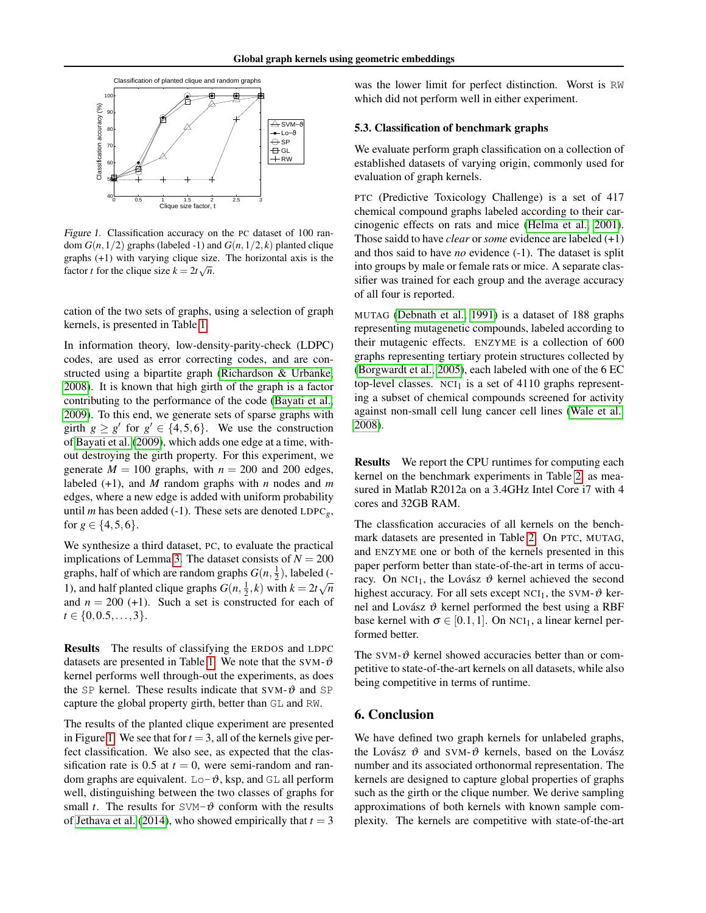

<span id="page-6-0"></span>Figure 1. Classification accuracy on the PC dataset of 100 random  $G(n,1/2)$  graphs (labeled -1) and  $G(n,1/2, k)$  planted clique graphs  $(+1)$  with varying clique size. The horizontal axis is the factor *t* for the clique size  $k = 2t\sqrt{n}$ .

cation of the two sets of graphs, using a selection of graph kernels, is presented in Table [1.](#page-5-1)

In information theory, low-density-parity-check (LDPC) codes, are used as error correcting codes, and are constructed using a bipartite graph [\(Richardson & Urbanke,](#page-8-5) [2008\)](#page-8-5). It is known that high girth of the graph is a factor contributing to the performance of the code [\(Bayati et al.,](#page-7-5) [2009\)](#page-7-5). To this end, we generate sets of sparse graphs with girth  $g \ge g'$  for  $g' \in \{4, 5, 6\}$ . We use the construction of [Bayati et al.](#page-7-5) [\(2009\)](#page-7-5), which adds one edge at a time, without destroying the girth property. For this experiment, we generate  $M = 100$  graphs, with  $n = 200$  and 200 edges, labeled (+1), and *M* random graphs with *n* nodes and *m* edges, where a new edge is added with uniform probability until *m* has been added (-1). These sets are denoted  $LDPC<sub>g</sub>$ , for  $g \in \{4, 5, 6\}.$ 

We synthesize a third dataset, PC, to evaluate the practical implications of Lemma [3.](#page-4-3) The dataset consists of  $N = 200$ graphs, half of which are random graphs  $G(n, \frac{1}{2})$ , labeled (-1), and half planted clique graphs  $G(n, \frac{1}{2}, k)$  with  $k = 2t\sqrt{n}$ and  $n = 200$  (+1). Such a set is constructed for each of  $t \in \{0, 0.5, \ldots, 3\}.$ 

Results The results of classifying the ERDOS and LDPC datasets are presented in Table [1.](#page-5-1) We note that the SVM- $\vartheta$ kernel performs well through-out the experiments, as does the SP kernel. These results indicate that SVM- $\vartheta$  and SP capture the global property girth, better than GL and RW.

The results of the planted clique experiment are presented in Figure [1.](#page-6-0) We see that for  $t = 3$ , all of the kernels give perfect classification. We also see, as expected that the classification rate is  $0.5$  at  $t = 0$ , were semi-random and random graphs are equivalent.  $Lo-\vartheta$ , ksp, and GL all perform well, distinguishing between the two classes of graphs for small *t*. The results for  $SVM-\vartheta$  conform with the results of [Jethava et al.](#page-8-7) [\(2014\)](#page-8-7), who showed empirically that  $t = 3$ 

was the lower limit for perfect distinction. Worst is RW which did not perform well in either experiment.

#### 5.3. Classification of benchmark graphs

We evaluate perform graph classification on a collection of established datasets of varying origin, commonly used for evaluation of graph kernels.

PTC (Predictive Toxicology Challenge) is a set of 417 chemical compound graphs labeled according to their carcinogenic effects on rats and mice [\(Helma et al., 2001\)](#page-7-17). Those saidd to have *clear* or *some* evidence are labeled (+1) and thos said to have *no* evidence (-1). The dataset is split into groups by male or female rats or mice. A separate classifier was trained for each group and the average accuracy of all four is reported.

MUTAG [\(Debnath et al., 1991\)](#page-7-18) is a dataset of 188 graphs representing mutagenetic compounds, labeled according to their mutagenic effects. ENZYME is a collection of 600 graphs representing tertiary protein structures collected by [\(Borgwardt et al., 2005\)](#page-7-19), each labeled with one of the 6 EC top-level classes.  $NCI_1$  is a set of 4110 graphs representing a subset of chemical compounds screened for activity against non-small cell lung cancer cell lines [\(Wale et al.,](#page-8-20) [2008\)](#page-8-20).

Results We report the CPU runtimes for computing each kernel on the benchmark experiments in Table [2,](#page-7-20) as measured in Matlab R2012a on a 3.4GHz Intel Core i7 with 4 cores and 32GB RAM.

The classfication accuracies of all kernels on the benchmark datasets are presented in Table [2.](#page-7-20) On PTC, MUTAG, and ENZYME one or both of the kernels presented in this paper perform better than state-of-the-art in terms of accuracy. On NCI<sub>1</sub>, the Lovász  $\vartheta$  kernel achieved the second highest accuracy. For all sets except  $NCI_1$ , the SVM- $\vartheta$  kernel and Lovász  $\vartheta$  kernel performed the best using a RBF base kernel with  $\sigma \in [0.1, 1]$ . On NCI<sub>1</sub>, a linear kernel performed better.

The SVM- $\vartheta$  kernel showed accuracies better than or competitive to state-of-the-art kernels on all datasets, while also being competitive in terms of runtime.

#### 6. Conclusion

We have defined two graph kernels for unlabeled graphs, the Lovász  $\vartheta$  and SVM- $\vartheta$  kernels, based on the Lovász number and its associated orthonormal representation. The kernels are designed to capture global properties of graphs such as the girth or the clique number. We derive sampling approximations of both kernels with known sample complexity. The kernels are competitive with state-of-the-art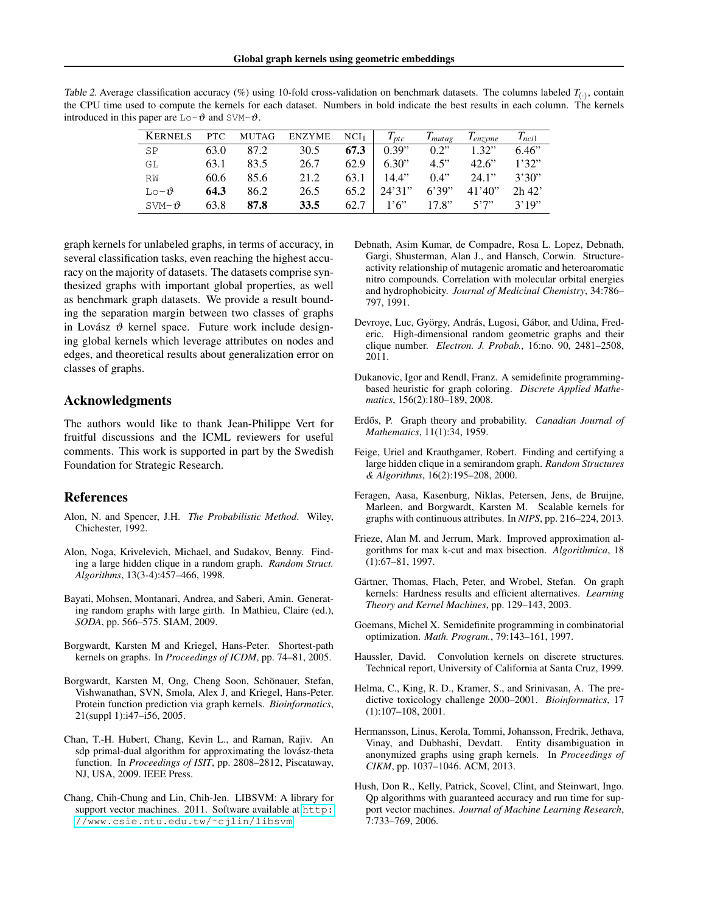<span id="page-7-20"></span>

| Table 2. Average classification accuracy (%) using 10-fold cross-validation on benchmark datasets. The columns labeled $T_{(.)}$ , contain |  |
|--------------------------------------------------------------------------------------------------------------------------------------------|--|
| the CPU time used to compute the kernels for each dataset. Numbers in bold indicate the best results in each column. The kernels           |  |
| introduced in this paper are $Lo-\theta$ and SVM- $\theta$ .                                                                               |  |

| <b>KERNELS</b>   | PTC  | MUTAG | ENZYME      | NCI <sub>1</sub> | $T_{ptc}$ | $T_{mutag}$ | $T_{enzvme}$ | $T_{nci1}$ |
|------------------|------|-------|-------------|------------------|-----------|-------------|--------------|------------|
| SP               | 63.0 | 87.2  | 30.5        | 67.3             | 0.39"     | 0.2"        | 1.32"        | 6.46"      |
| GL               | 63.1 | 83.5  | 26.7        | 62.9             | 6.30"     | 4.5"        | 42.6"        | 1'32"      |
| RW               | 60.6 | 85.6  | 21.2        | 63.1             | 14.4"     | 0.4"        | 24.1"        | 3'30"      |
| $LO-1$           | 64.3 | 86.2  | 26.5        | 65.2             | 24'31''   | 6'39"       | 41'40''      | $2h$ 42'   |
| $SVM-\mathbf{v}$ | 63.8 | 87.8  | <b>33.5</b> | 62.7             | 1'6'      | 17.8"       | 5'7''        | 3'19''     |

graph kernels for unlabeled graphs, in terms of accuracy, in several classification tasks, even reaching the highest accuracy on the majority of datasets. The datasets comprise synthesized graphs with important global properties, as well as benchmark graph datasets. We provide a result bounding the separation margin between two classes of graphs in Lovász  $\vartheta$  kernel space. Future work include designing global kernels which leverage attributes on nodes and edges, and theoretical results about generalization error on classes of graphs.

#### Acknowledgments

The authors would like to thank Jean-Philippe Vert for fruitful discussions and the ICML reviewers for useful comments. This work is supported in part by the Swedish Foundation for Strategic Research.

#### References

- <span id="page-7-4"></span>Alon, N. and Spencer, J.H. *The Probabilistic Method*. Wiley, Chichester, 1992.
- <span id="page-7-12"></span>Alon, Noga, Krivelevich, Michael, and Sudakov, Benny. Finding a large hidden clique in a random graph. *Random Struct. Algorithms*, 13(3-4):457–466, 1998.
- <span id="page-7-5"></span>Bayati, Mohsen, Montanari, Andrea, and Saberi, Amin. Generating random graphs with large girth. In Mathieu, Claire (ed.), *SODA*, pp. 566–575. SIAM, 2009.
- <span id="page-7-2"></span>Borgwardt, Karsten M and Kriegel, Hans-Peter. Shortest-path kernels on graphs. In *Proceedings of ICDM*, pp. 74–81, 2005.
- <span id="page-7-19"></span>Borgwardt, Karsten M, Ong, Cheng Soon, Schönauer, Stefan, Vishwanathan, SVN, Smola, Alex J, and Kriegel, Hans-Peter. Protein function prediction via graph kernels. *Bioinformatics*, 21(suppl 1):i47–i56, 2005.
- <span id="page-7-13"></span>Chan, T.-H. Hubert, Chang, Kevin L., and Raman, Rajiv. An sdp primal-dual algorithm for approximating the lovász-theta function. In *Proceedings of ISIT*, pp. 2808–2812, Piscataway, NJ, USA, 2009. IEEE Press.
- <span id="page-7-15"></span>Chang, Chih-Chung and Lin, Chih-Jen. LIBSVM: A library for support vector machines. 2011. Software available at [http:](http://www.csie.ntu.edu.tw/~cjlin/libsvm) [//www.csie.ntu.edu.tw/˜cjlin/libsvm](http://www.csie.ntu.edu.tw/~cjlin/libsvm).
- <span id="page-7-18"></span>Debnath, Asim Kumar, de Compadre, Rosa L. Lopez, Debnath, Gargi, Shusterman, Alan J., and Hansch, Corwin. Structureactivity relationship of mutagenic aromatic and heteroaromatic nitro compounds. Correlation with molecular orbital energies and hydrophobicity. *Journal of Medicinal Chemistry*, 34:786– 797, 1991.
- <span id="page-7-6"></span>Devroye, Luc, György, András, Lugosi, Gábor, and Udina, Frederic. High-dimensional random geometric graphs and their clique number. *Electron. J. Probab.*, 16:no. 90, 2481–2508, 2011.
- <span id="page-7-10"></span>Dukanovic, Igor and Rendl, Franz. A semidefinite programmingbased heuristic for graph coloring. *Discrete Applied Mathematics*, 156(2):180–189, 2008.
- <span id="page-7-16"></span>Erdős, P. Graph theory and probability. *Canadian Journal of Mathematics*, 11(1):34, 1959.
- <span id="page-7-11"></span>Feige, Uriel and Krauthgamer, Robert. Finding and certifying a large hidden clique in a semirandom graph. *Random Structures & Algorithms*, 16(2):195–208, 2000.
- <span id="page-7-3"></span>Feragen, Aasa, Kasenburg, Niklas, Petersen, Jens, de Bruijne, Marleen, and Borgwardt, Karsten M. Scalable kernels for graphs with continuous attributes. In *NIPS*, pp. 216–224, 2013.
- <span id="page-7-9"></span>Frieze, Alan M. and Jerrum, Mark. Improved approximation algorithms for max k-cut and max bisection. *Algorithmica*, 18 (1):67–81, 1997.
- <span id="page-7-0"></span>Gärtner, Thomas, Flach, Peter, and Wrobel, Stefan. On graph kernels: Hardness results and efficient alternatives. *Learning Theory and Kernel Machines*, pp. 129–143, 2003.
- <span id="page-7-7"></span>Goemans, Michel X. Semidefinite programming in combinatorial optimization. *Math. Program.*, 79:143–161, 1997.
- <span id="page-7-8"></span>Haussler, David. Convolution kernels on discrete structures. Technical report, University of California at Santa Cruz, 1999.
- <span id="page-7-17"></span>Helma, C., King, R. D., Kramer, S., and Srinivasan, A. The predictive toxicology challenge 2000–2001. *Bioinformatics*, 17 (1):107–108, 2001.
- <span id="page-7-1"></span>Hermansson, Linus, Kerola, Tommi, Johansson, Fredrik, Jethava, Vinay, and Dubhashi, Devdatt. Entity disambiguation in anonymized graphs using graph kernels. In *Proceedings of CIKM*, pp. 1037–1046. ACM, 2013.
- <span id="page-7-14"></span>Hush, Don R., Kelly, Patrick, Scovel, Clint, and Steinwart, Ingo. Qp algorithms with guaranteed accuracy and run time for support vector machines. *Journal of Machine Learning Research*, 7:733–769, 2006.